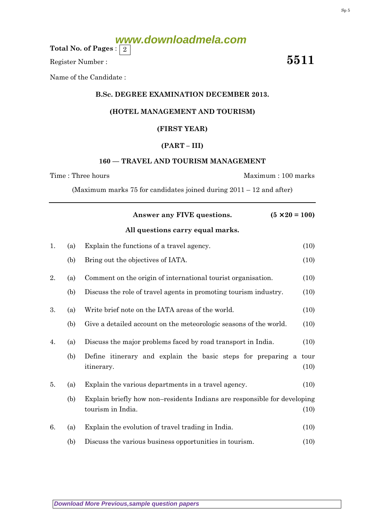|    |     | $(5 \times 20 = 100)$<br>Answer any FIVE questions.                      |      |
|----|-----|--------------------------------------------------------------------------|------|
|    |     | All questions carry equal marks.                                         |      |
| 1. | (a) | Explain the functions of a travel agency.                                | (10) |
|    | (b) | Bring out the objectives of IATA.                                        | (10) |
| 2. | (a) | Comment on the origin of international tourist organisation.             | (10) |
|    | (b) | Discuss the role of travel agents in promoting tourism industry.         | (10) |
| 3. | (a) | Write brief note on the IATA areas of the world.                         | (10) |
|    | (b) | Give a detailed account on the meteorologic seasons of the world.        | (10) |
| 4. | (a) | Discuss the major problems faced by road transport in India.             | (10) |
|    | (b) | Define itinerary and explain the basic steps for preparing a             | tour |
|    |     | itinerary.                                                               | (10) |
| 5. | (a) | Explain the various departments in a travel agency.                      | (10) |
|    | (b) | Explain briefly how non-residents Indians are responsible for developing |      |
|    |     | tourism in India.                                                        | (10) |

6. (a) Explain the evolution of travel trading in India. (10)

(b) Discuss the various business opportunities in tourism. (10)

## Time : Three hours Maximum : 100 marks

(Maximum marks 75 for candidates joined during 2011 – 12 and after)

**[Download More Previous,sample question papers](http://downloadmela.com/pages/previouspapers/previouspapers.html)**

Name of the Candidate :

#### B.Sc. DEGREE EXAMINATION DECEMBER 2013.

**www.downloadmela.com**

### (HOTEL MANAGEMENT AND TOURISM)

# (FIRST YEAR)

#### (PART – III)

#### 160 — TRAVEL AND TOURISM MANAGEMENT